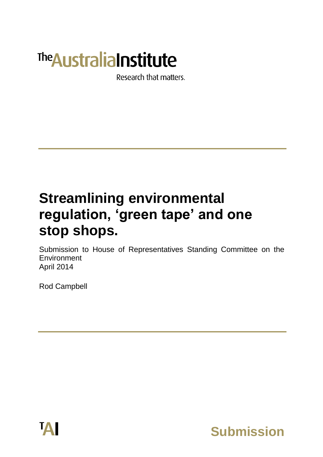# **The Australia Institute**

Research that matters.

## **Streamlining environmental regulation, 'green tape' and one stop shops.**

Submission to House of Representatives Standing Committee on the Environment April 2014

Rod Campbell



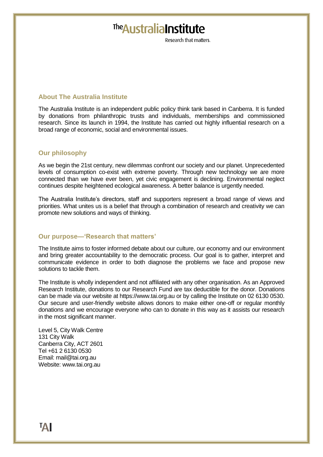### The Australia Institute

Research that matters

#### **About The Australia Institute**

The Australia Institute is an independent public policy think tank based in Canberra. It is funded by donations from philanthropic trusts and individuals, memberships and commissioned research. Since its launch in 1994, the Institute has carried out highly influential research on a broad range of economic, social and environmental issues.

#### **Our philosophy**

As we begin the 21st century, new dilemmas confront our society and our planet. Unprecedented levels of consumption co-exist with extreme poverty. Through new technology we are more connected than we have ever been, yet civic engagement is declining. Environmental neglect continues despite heightened ecological awareness. A better balance is urgently needed.

The Australia Institute's directors, staff and supporters represent a broad range of views and priorities. What unites us is a belief that through a combination of research and creativity we can promote new solutions and ways of thinking.

#### **Our purpose—'Research that matters'**

The Institute aims to foster informed debate about our culture, our economy and our environment and bring greater accountability to the democratic process. Our goal is to gather, interpret and communicate evidence in order to both diagnose the problems we face and propose new solutions to tackle them.

The Institute is wholly independent and not affiliated with any other organisation. As an Approved Research Institute, donations to our Research Fund are tax deductible for the donor. Donations can be made via our website at https://www.tai.org.au or by calling the Institute on 02 6130 0530. Our secure and user-friendly website allows donors to make either one-off or regular monthly donations and we encourage everyone who can to donate in this way as it assists our research in the most significant manner.

Level 5, City Walk Centre 131 City Walk Canberra City, ACT 2601 Tel +61 2 6130 0530 Email: mail@tai.org.au Website: www.tai.org.au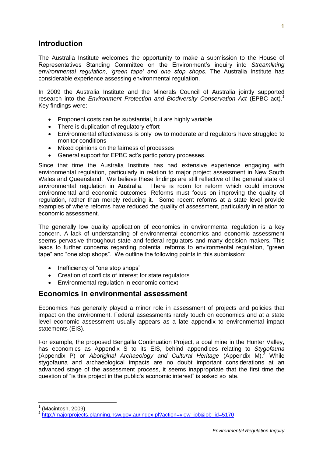#### **Introduction**

The Australia Institute welcomes the opportunity to make a submission to the House of Representatives Standing Committee on the Environment's inquiry into *Streamlining environmental regulation, 'green tape' and one stop shops.* The Australia Institute has considerable experience assessing environmental regulation.

In 2009 the Australia Institute and the Minerals Council of Australia jointly supported research into the *Environment Protection and Biodiversity Conservation Act* (EPBC act).<sup>1</sup> Key findings were:

- Proponent costs can be substantial, but are highly variable
- There is duplication of regulatory effort
- Environmental effectiveness is only low to moderate and regulators have struggled to monitor conditions
- Mixed opinions on the fairness of processes
- General support for EPBC act's participatory processes.

Since that time the Australia Institute has had extensive experience engaging with environmental regulation, particularly in relation to major project assessment in New South Wales and Queensland. We believe these findings are still reflective of the general state of environmental regulation in Australia. There is room for reform which could improve environmental and economic outcomes. Reforms must focus on improving the quality of regulation, rather than merely reducing it. Some recent reforms at a state level provide examples of where reforms have reduced the quality of assessment, particularly in relation to economic assessment.

The generally low quality application of economics in environmental regulation is a key concern. A lack of understanding of environmental economics and economic assessment seems pervasive throughout state and federal regulators and many decision makers. This leads to further concerns regarding potential reforms to environmental regulation, "green tape" and "one stop shops". We outline the following points in this submission:

- Inefficiency of "one stop shops"
- Creation of conflicts of interest for state regulators
- Environmental regulation in economic context.

#### **Economics in environmental assessment**

Economics has generally played a minor role in assessment of projects and policies that impact on the environment. Federal assessments rarely touch on economics and at a state level economic assessment usually appears as a late appendix to environmental impact statements (EIS).

For example, the proposed Bengalla Continuation Project, a coal mine in the Hunter Valley, has economics as Appendix S to its EIS, behind appendices relating to *Stygofauna* (Appendix P) or *Aboriginal Archaeology and Cultural Heritage* (Appendix M).<sup>2</sup> While stygofauna and archaeological impacts are no doubt important considerations at an advanced stage of the assessment process, it seems inappropriate that the first time the question of "is this project in the public's economic interest" is asked so late.

<sup>1</sup> (Macintosh, 2009).

<sup>&</sup>lt;sup>2</sup> [http://majorprojects.planning.nsw.gov.au/index.pl?action=view\\_job&job\\_id=5170](http://majorprojects.planning.nsw.gov.au/index.pl?action=view_job&job_id=5170)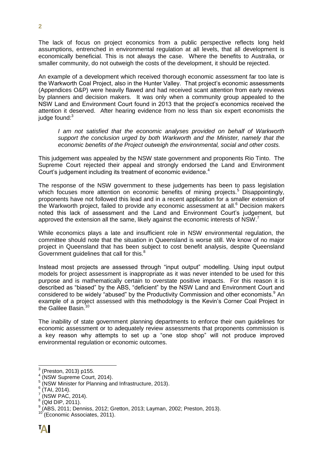The lack of focus on project economics from a public perspective reflects long held assumptions, entrenched in environmental regulation at all levels, that all development is economically beneficial. This is not always the case. Where the benefits to Australia, or smaller community, do not outweigh the costs of the development, it should be rejected.

An example of a development which received thorough economic assessment far too late is the Warkworth Coal Project, also in the Hunter Valley. That project's economic assessments (Appendices O&P) were heavily flawed and had received scant attention from early reviews by planners and decision makers. It was only when a community group appealed to the NSW Land and Environment Court found in 2013 that the project's economics received the attention it deserved. After hearing evidence from no less than six expert economists the judge found:<sup>3</sup>

*I am not satisfied that the economic analyses provided on behalf of Warkworth support the conclusion urged by both Warkworth and the Minister, namely that the economic benefits of the Project outweigh the environmental, social and other costs.*

This judgement was appealed by the NSW state government and proponents Rio Tinto. The Supreme Court rejected their appeal and strongly endorsed the Land and Environment Court's judgement including its treatment of economic evidence.<sup>4</sup>

The response of the NSW government to these judgements has been to pass legislation which focuses more attention on economic benefits of mining projects.<sup>5</sup> Disappointingly, proponents have not followed this lead and in a recent application for a smaller extension of the Warkworth project, failed to provide any economic assessment at all.<sup>6</sup> Decision makers noted this lack of assessment and the Land and Environment Court's judgement, but approved the extension all the same, likely against the economic interests of NSW.<sup>7</sup>

While economics plays a late and insufficient role in NSW environmental regulation, the committee should note that the situation in Queensland is worse still. We know of no major project in Queensland that has been subject to cost benefit analysis, despite Queensland Government guidelines that call for this.<sup>8</sup>

Instead most projects are assessed through "input output" modelling. Using input output models for project assessment is inappropriate as it was never intended to be used for this purpose and is mathematically certain to overstate positive impacts. For this reason it is described as "biased" by the ABS, "deficient" by the NSW Land and Environment Court and considered to be widely "abused" by the Productivity Commission and other economists. An example of a project assessed with this methodology is the Kevin's Corner Coal Project in the Galilee Basin.<sup>10</sup>

The inability of state government planning departments to enforce their own guidelines for economic assessment or to adequately review assessments that proponents commission is a key reason why attempts to set up a "one stop shop" will not produce improved environmental regulation or economic outcomes.

<sup>-&</sup>lt;br>3 (Preston, 2013) p155.

<sup>4</sup> (NSW Supreme Court, 2014).

 $^5$  (NSW Minister for Planning and Infrastructure, 2013).<br> $^6$  (TAL 2014)

<sup>(</sup>TAI, 2014).

<sup>7</sup> (NSW PAC, 2014).

 $\frac{8}{9}$  (Qld DIP, 2011).

<sup>(</sup>ABS, 2011; Denniss, 2012; Gretton, 2013; Layman, 2002; Preston, 2013).

<sup>(</sup>Economic Associates, 2011).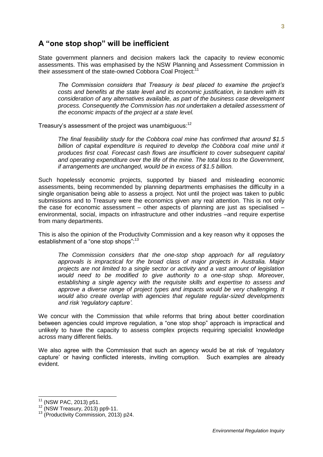#### **A "one stop shop" will be inefficient**

State government planners and decision makers lack the capacity to review economic assessments. This was emphasised by the NSW Planning and Assessment Commission in their assessment of the state-owned Cobbora Coal Project:<sup>11</sup>

*The Commission considers that Treasury is best placed to examine the project's costs and benefits at the state level and its economic justification, in tandem with its consideration of any alternatives available, as part of the business case development process. Consequently the Commission has not undertaken a detailed assessment of the economic impacts of the project at a state level.*

Treasury's assessment of the project was unambiguous:<sup>12</sup>

*The final feasibility study for the Cobbora coal mine has confirmed that around \$1.5*  billion of capital expenditure is required to develop the Cobbora coal mine until it *produces first coal. Forecast cash flows are insufficient to cover subsequent capital and operating expenditure over the life of the mine. The total loss to the Government, if arrangements are unchanged, would be in excess of \$1.5 billion.*

Such hopelessly economic projects, supported by biased and misleading economic assessments, being recommended by planning departments emphasises the difficulty in a single organisation being able to assess a project. Not until the project was taken to public submissions and to Treasury were the economics given any real attention. This is not only the case for economic assessment – other aspects of planning are just as specialised – environmental, social, impacts on infrastructure and other industries –and require expertise from many departments.

This is also the opinion of the Productivity Commission and a key reason why it opposes the establishment of a "one stop shops":<sup>13</sup>

*The Commission considers that the one-stop shop approach for all regulatory approvals is impractical for the broad class of major projects in Australia. Major projects are not limited to a single sector or activity and a vast amount of legislation would need to be modified to give authority to a one-stop shop. Moreover, establishing a single agency with the requisite skills and expertise to assess and approve a diverse range of project types and impacts would be very challenging. It would also create overlap with agencies that regulate regular-sized developments and risk 'regulatory capture'.*

We concur with the Commission that while reforms that bring about better coordination between agencies could improve regulation, a "one stop shop" approach is impractical and unlikely to have the capacity to assess complex projects requiring specialist knowledge across many different fields.

We also agree with the Commission that such an agency would be at risk of 'regulatory capture' or having conflicted interests, inviting corruption. Such examples are already evident.

 $\overline{\phantom{a}}$ 

<sup>11</sup> (NSW PAC, 2013) p51.

 $12$  (NSW Treasury, 2013) pp9-11.

<sup>13</sup> (Productivity Commission, 2013) p24.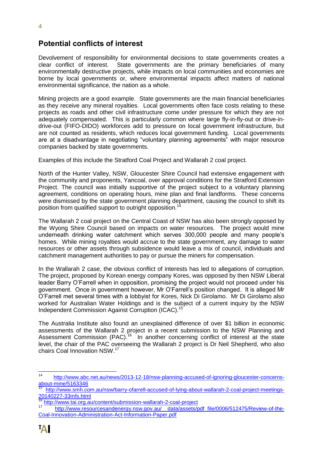#### **Potential conflicts of interest**

Devolvement of responsibility for environmental decisions to state governments creates a clear conflict of interest. State governments are the primary beneficiaries of many environmentally destructive projects, while impacts on local communities and economies are borne by local governments or, where environmental impacts affect matters of national environmental significance, the nation as a whole.

Mining projects are a good example. State governments are the main financial beneficiaries as they receive any mineral royalties. Local governments often face costs relating to these projects as roads and other civil infrastructure come under pressure for which they are not adequately compensated. This is particularly common where large fly-in-fly-out or drive-indrive-out (FIFO-DIDO) workforces add to pressure on local government infrastructure, but are not counted as residents, which reduces local government funding. Local governments are at a disadvantage in negotiating "voluntary planning agreements" with major resource companies backed by state governments.

Examples of this include the Stratford Coal Project and Wallarah 2 coal project.

North of the Hunter Valley, NSW, Gloucester Shire Council had extensive engagement with the community and proponents, Yancoal, over approval conditions for the Stratford Extension Project. The council was initially supportive of the project subject to a voluntary planning agreement, conditions on operating hours, mine plan and final landforms. These concerns were dismissed by the state government planning department, causing the council to shift its position from qualified support to outright opposition.<sup>1</sup>

The Wallarah 2 coal project on the Central Coast of NSW has also been strongly opposed by the Wyong Shire Council based on impacts on water resources. The project would mine underneath drinking water catchment which serves 300,000 people and many people's homes. While mining royalties would accrue to the state government, any damage to water resources or other assets through subsidence would leave a mix of council, individuals and catchment management authorities to pay or pursue the miners for compensation.

In the Wallarah 2 case, the obvious conflict of interests has led to allegations of corruption. The project, proposed by Korean energy company Kores, was opposed by then NSW Liberal leader Barry O'Farrell when in opposition, promising the project would not proceed under his government. Once in government however, Mr O'Farrell's position changed. It is alleged Mr O'Farrell met several times with a lobbyist for Kores, Nick Di Girolamo. Mr Di Girolamo also worked for Australian Water Holdings and is the subject of a current inquiry by the NSW Independent Commission Against Corruption (ICAC).<sup>15</sup>

The Australia Institute also found an unexplained difference of over \$1 billion in economic assessments of the Wallarah 2 project in a recent submission to the NSW Planning and Assessment Commission (PAC).<sup>16</sup> In another concerning conflict of interest at the state level, the chair of the PAC overseeing the Wallarah 2 project is Dr Neil Shepherd, who also chairs Coal Innovation NSW.<sup>17</sup>

 $14$ [http://www.abc.net.au/news/2013-12-18/nsw-planning-accused-of-ignoring-gloucester-concerns](http://www.abc.net.au/news/2013-12-18/nsw-planning-accused-of-ignoring-gloucester-concerns-about-mine/5163346)[about-mine/5163346](http://www.abc.net.au/news/2013-12-18/nsw-planning-accused-of-ignoring-gloucester-concerns-about-mine/5163346)

[http://www.smh.com.au/nsw/barry-ofarrell-accused-of-lying-about-wallarah-2-coal-project-meetings-](http://www.smh.com.au/nsw/barry-ofarrell-accused-of-lying-about-wallarah-2-coal-project-meetings-20140227-33mfs.html)[20140227-33mfs.html](http://www.smh.com.au/nsw/barry-ofarrell-accused-of-lying-about-wallarah-2-coal-project-meetings-20140227-33mfs.html)

<sup>16</sup> <http://www.tai.org.au/content/submission-wallarah-2-coal-project>

[http://www.resourcesandenergy.nsw.gov.au/\\_\\_data/assets/pdf\\_file/0006/512475/Review-of-the-](http://www.resourcesandenergy.nsw.gov.au/__data/assets/pdf_file/0006/512475/Review-of-the-Coal-Innovation-Administration-Act-Information-Paper.pdf)[Coal-Innovation-Administration-Act-Information-Paper.pdf](http://www.resourcesandenergy.nsw.gov.au/__data/assets/pdf_file/0006/512475/Review-of-the-Coal-Innovation-Administration-Act-Information-Paper.pdf)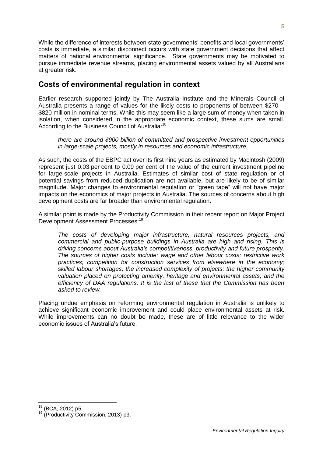While the difference of interests between state governments' benefits and local governments' costs is immediate, a similar disconnect occurs with state government decisions that affect matters of national environmental significance. State governments may be motivated to pursue immediate revenue streams, placing environmental assets valued by all Australians at greater risk.

#### **Costs of environmental regulation in context**

Earlier research supported jointly by The Australia Institute and the Minerals Council of Australia presents a range of values for the likely costs to proponents of between \$270--‐ \$820 million in nominal terms. While this may seem like a large sum of money when taken in isolation, when considered in the appropriate economic context, these sums are small. According to the Business Council of Australia:<sup>18</sup>

*there are around \$900 billion of committed and prospective investment opportunities in large-scale projects, mostly in resources and economic infrastructure.*

As such, the costs of the EBPC act over its first nine years as estimated by Macintosh (2009) represent just 0.03 per cent to 0.09 per cent of the value of the current investment pipeline for large-scale projects in Australia. Estimates of similar cost of state regulation or of potential savings from reduced duplication are not available, but are likely to be of similar magnitude. Major changes to environmental regulation or "green tape" will not have major impacts on the economics of major projects in Australia. The sources of concerns about high development costs are far broader than environmental regulation.

A similar point is made by the Productivity Commission in their recent report on Major Project Development Assessment Processes:<sup>19</sup>

*The costs of developing major infrastructure, natural resources projects, and commercial and public-purpose buildings in Australia are high and rising. This is driving concerns about Australia's competitiveness, productivity and future prosperity. The sources of higher costs include: wage and other labour costs; restrictive work practices; competition for construction services from elsewhere in the economy; skilled labour shortages; the increased complexity of projects; the higher community valuation placed on protecting amenity, heritage and environmental assets; and the efficiency of DAA regulations. It is the last of these that the Commission has been asked to review.* 

Placing undue emphasis on reforming environmental regulation in Australia is unlikely to achieve significant economic improvement and could place environmental assets at risk. While improvements can no doubt be made, these are of little relevance to the wider economic issues of Australia's future.

<sup>&</sup>lt;sup>18</sup> (BCA, 2012) p5.

<sup>19</sup> (Productivity Commission, 2013) p3.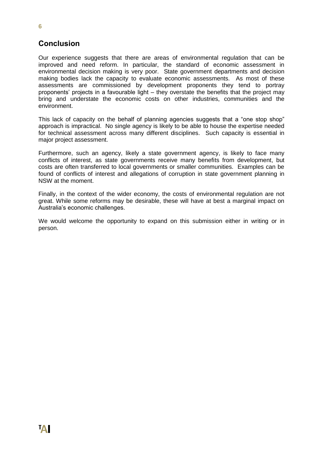#### **Conclusion**

Our experience suggests that there are areas of environmental regulation that can be improved and need reform. In particular, the standard of economic assessment in environmental decision making is very poor. State government departments and decision making bodies lack the capacity to evaluate economic assessments. As most of these assessments are commissioned by development proponents they tend to portray proponents' projects in a favourable light – they overstate the benefits that the project may bring and understate the economic costs on other industries, communities and the environment.

This lack of capacity on the behalf of planning agencies suggests that a "one stop shop" approach is impractical. No single agency is likely to be able to house the expertise needed for technical assessment across many different disciplines. Such capacity is essential in major project assessment.

Furthermore, such an agency, likely a state government agency, is likely to face many conflicts of interest, as state governments receive many benefits from development, but costs are often transferred to local governments or smaller communities. Examples can be found of conflicts of interest and allegations of corruption in state government planning in NSW at the moment.

Finally, in the context of the wider economy, the costs of environmental regulation are not great. While some reforms may be desirable, these will have at best a marginal impact on Australia's economic challenges.

We would welcome the opportunity to expand on this submission either in writing or in person.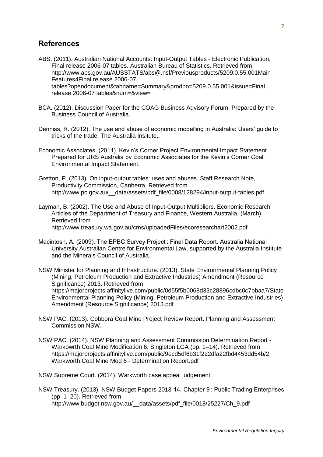#### **References**

- ABS. (2011). Australian National Accounts: Input-Output Tables Electronic Publication, Final release 2006-07 tables. Australian Bureau of Statistics. Retrieved from http://www.abs.gov.au/AUSSTATS/abs@.nsf/Previousproducts/5209.0.55.001Main Features4Final release 2006-07 tables?opendocument&tabname=Summary&prodno=5209.0.55.001&issue=Final release 2006-07 tables&num=&view=
- BCA. (2012). Discussion Paper for the COAG Business Advisory Forum. Prepared by the Business Council of Australia.
- Denniss, R. (2012). The use and abuse of economic modelling in Australia: Users' guide to tricks of the trade. The Australia Insitute,.
- Economic Associates. (2011). Kevin's Corner Project Environmental Impact Statement. Prepared for URS Australia by Economic Associates for the Kevin's Corner Coal Environmental Impact Statement.
- Gretton, P. (2013). On input-output tables: uses and abuses. Staff Research Note, Productivity Commission, Canberra. Retrieved from http://www.pc.gov.au/\_\_data/assets/pdf\_file/0008/128294/input-output-tables.pdf
- Layman, B. (2002). The Use and Abuse of Input-Output Multipliers. Economic Research Articles of the Department of Treasury and Finance, Western Australia, (March). Retrieved from http://www.treasury.wa.gov.au/cms/uploadedFiles/ecoresearchart2002.pdf
- Macintosh, A. (2009). The EPBC Survey Project : Final Data Report. Australia National University Australian Centre for Environmental Law, supported by the Australia Institute and the Minerals Council of Australia.
- NSW Minister for Planning and Infrastructure. (2013). State Environmental Planning Policy (Mining, Petroleum Production and Extractive Industries) Amendment (Resource Significance) 2013. Retrieved from https://majorprojects.affinitylive.com/public/0d55f5b0068d33c28896cdbc0c7bbaa7/State Environmental Planning Policy (Mining, Petroleum Production and Extractive Industries) Amendment (Resource Significance) 2013.pdf
- NSW PAC. (2013). Cobbora Coal Mine Project Review Report. Planning and Assessment Commission NSW.
- NSW PAC. (2014). NSW Planning and Assessment Commission Determination Report Warkowrth Coal Mine Modification 6, Singleton LGA (pp. 1–14). Retrieved from https://majorprojects.affinitylive.com/public/9ecd5df6b31f222dfa22fbd4453dd54b/2. Warkworth Coal Mine Mod 6 - Determination Report.pdf

NSW Supreme Court. (2014). Warkworth case appeal judgement.

NSW Treasury. (2013). NSW Budget Papers 2013-14, Chapter 9 : Public Trading Enterprises (pp. 1–20). Retrieved from http://www.budget.nsw.gov.au/\_\_data/assets/pdf\_file/0018/25227/Ch\_9.pdf